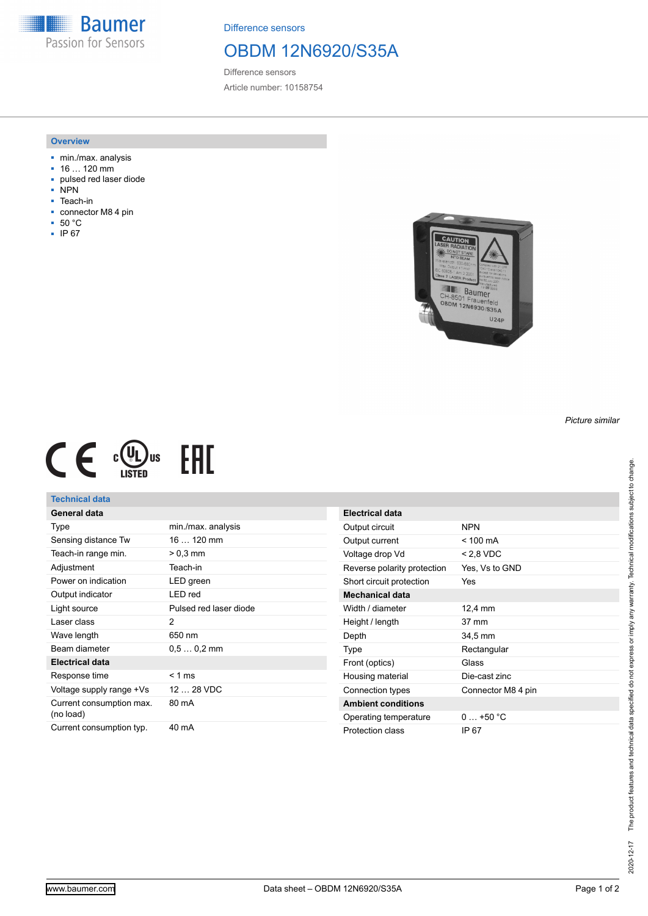**Baumer** Passion for Sensors

Difference sensors

# OBDM 12N6920/S35A

Difference sensors Article number: 10158754

#### **Overview**

- min./max. analysis
- 16 … 120 mm
- pulsed red laser diode
- .<br>NPN
- Teach-in
- connector M8 4 pin
- 50 °C
- IP 67





## **Technical data**

| General data                          |                        |
|---------------------------------------|------------------------|
| Type                                  | min./max. analysis     |
| Sensing distance Tw                   | $16120$ mm             |
| Teach-in range min.                   | $> 0.3$ mm             |
| Adjustment                            | Teach-in               |
| Power on indication                   | LED green              |
| Output indicator                      | I FD red               |
| Light source                          | Pulsed red laser diode |
| Laser class                           | 2                      |
| Wave length                           | 650 nm                 |
| Beam diameter                         | $0.50.2$ mm            |
| <b>Electrical data</b>                |                        |
| Response time                         | $< 1$ ms               |
| Voltage supply range +Vs              | 12  28 VDC             |
| Current consumption max.<br>(no load) | 80 mA                  |
| Current consumption typ.              | 40 mA                  |

| <b>Electrical data</b>      |                    |
|-----------------------------|--------------------|
| Output circuit              | <b>NPN</b>         |
| Output current              | $< 100 \text{ mA}$ |
| Voltage drop Vd             | $< 2.8$ VDC        |
| Reverse polarity protection | Yes, Vs to GND     |
| Short circuit protection    | Yes                |
| <b>Mechanical data</b>      |                    |
| Width / diameter            | 12,4 mm            |
| Height / length             | $37 \text{ mm}$    |
| Depth                       | 34,5 mm            |
| Type                        | Rectangular        |
| Front (optics)              | Glass              |
| Housing material            | Die-cast zinc      |
| Connection types            | Connector M8 4 pin |
| <b>Ambient conditions</b>   |                    |
| Operating temperature       | $0 + 50 °C$        |
| Protection class            | IP 67              |

*Picture similar*